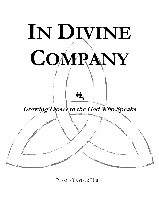

PIERCE TAYLOR HIBBS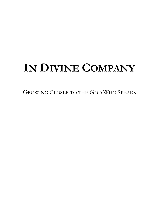# IN DIVINE COMPANY

GROWING CLOSER TO THE GOD WHO SPEAKS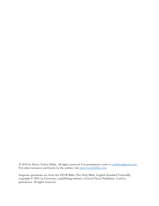© 2018 by Pierce Taylor Hibbs. All rights reserved. For permissions, write to pthibbs@gmail.com. For other resources and books by the author, visit piercetaylorhibbs.com.

Scripture quotations are from the ESV® Bible (The Holy Bible, English Standard Version®), copyright © 2001 by Crossway, a publishing ministry of Good News Publishers. Used by permission. All rights reserved.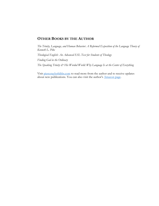#### OTHER BOOKS BY THE AUTHOR

The Trinity, Language, and Human Behavior: A Reformed Exposition of the Language Theory of Kenneth L. Pike

Theological English: An Advanced ESL Text for Students of Theology

Finding God in the Ordinary

The Speaking Trinity  $\dot{\mathcal{C}}$  His Worded World: Why Language Is at the Center of Everything

Visit piercetaylorhibbs.com to read more from the author and to receive updates about new publications. You can also visit the author's Amazon page.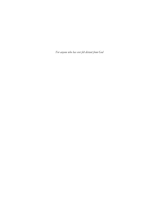For anyone who has ever felt distant from God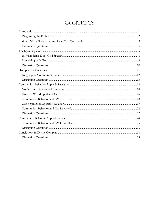# **CONTENTS**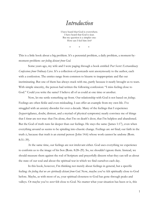### Introduction

I have heard that God is everywhere. I have heard that God is near. But my question is a simpler one: How can I feel him here?

\* \* \*

This is a little book about a big problem. It's a perennial problem, a daily problem, a moment-bymoment problem: our feeling distant from God.

Some years ago, my wife and I were paging through a book entitled Post Secret: Extraordinary Confessions from Ordinary Lives. It's a collection of postcards sent anonymously to the author, each with a confession. The entries range from common to bizarre to inappropriate and flat out incriminating. But one of them has always stuck with me, partly because it nearly brought us to tears. With simple sincerity, the person had written the following confession: "I miss feeling close to God." Could you write the same? I believe all of us could at one time or another.

 Now, let me settle something up front. Our relationship with God is not based on feelings. Feelings are often fickle and even misleading. I can offer an example from my own life. I've struggled with an anxiety disorder for over a decade. Many of the feelings that I experience (hypervigilance, doubt, distrust, and a myriad of physical symptoms) nearly convince me of things that I know are not true: that I'm alone, that I'm on death's door, that I'm helpless and abandoned. But the God of truth runs far deeper than our feelings. He stays the same (James 1:17), even when everything around us seems to be spiraling into chaotic change. Feelings are *not* final; our faith in the truth  $i$ s, because that truth is an eternal person (John 14:6) whose work cannot be undone (Rom. 8:31–39).

 At the same time, our feelings are not irrelevant either. God uses everything we experience to conform us to the image of his Son (Rom. 8:28–29). So, we shouldn't ignore them. Instead, we should measure them against the rod of Scripture and prayerfully discern what they can tell us about the state of our soul and about the spiritual war in which we find ourselves each day.

 In this book, however, I'm thinking not merely about feelings in general, but a specific feeling: the feeling that we are spiritually distant from God. Now, maybe you've felt spiritually close to God before. Maybe, as with most of us, your spiritual closeness to God has gone through peaks and valleys. Or maybe you've never felt close to God. No matter what your situation has been or is, this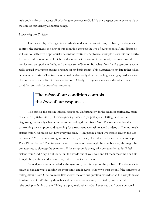little book is for you because all of us long to be close to God. It's our deepest desire because it's at the core of our identity as human beings.

#### Diagnosing the Problem

Let me start by offering a few words about diagnosis. As with any problem, the diagnosis controls the treatment; the *what* of our condition controls the *how* of our response. A misdiagnosis will lead to ineffective or potentially hazardous treatment. A physical example draws this out clearly. If I have flu-like symptoms, I might be diagnosed with a strain of the flu. My treatment would involve rest, an uptake in fluids, and perhaps some Tylenol. But what if my flu-like symptoms were really caused by a tumor putting pressure on my brain stem? (This happened to my late father when he was in his thirties.) The treatment would be drastically different, calling for surgery, radiation or chemo therapy, and a list of other medications. Clearly, in physical situations, the what of our condition controls the *how* of our response.

### The *what* of our condition controls the *how* of our response.

The same is the case in spiritual situations. Unfortunately, in the realm of spirituality, many of us have a pitiable history of misdiagnosing ourselves (or perhaps not letting God do the diagnosing), especially when it comes to our feeling distant from God. For starters, rather than confronting the symptom and searching for a treatment, we seek to avoid or deny it. "I'm not really distant from God; this is just how everyone feels." "I'm just in a funk; I've missed church the last two weeks." "I've been focusing too much on myself lately; I need to find someone else to help. Then I'll feel better." The list goes on and on. Some of these might be true, but they also might be our attempts to sidestep the symptom. If the symptom is there, call your attention to it: "I feel distant from God." Say it out loud. Pull the words out of your soul and let them meet the open air. It might be painful and disconcerting, but we have to start there.

Second, once we acknowledge the symptom, we misdiagnose the problem. The diagnosis is meant to explain what's causing the symptoms, and it suggests how we treat them. If the symptom is feeling distant from God, we must first answer the obvious question embedded *in* the symptom: *am* I distant from God? Are my thoughts and behaviors significantly affected by my personal relationship with him, or am I living as a pragmatic atheist? Can I even say that I have a personal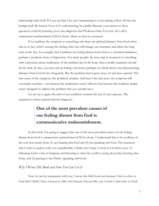relationship with God? If I can say that I do, am I maintaining it or just letting it float off into the background? Be honest. Even if it's embarrassing, be candid. Because your answer to these questions could be pointing you to the diagnosis that I'll discuss here. For now, let's call it communicative malnourishment (CM for short). More on that in a moment.

If we attribute the symptom to something *other* than our spiritual distance from God when that is, in fact, what's causing the feeling, then that will change our treatment and affect the longterm result. Say, for example, that I attribute my feeling distant from God to a chemical imbalance, perhaps a moderate form of depression. For many people, the next step in treatment is consulting with a physician about medication. If the problem lies in the body, then a bodily treatment should do the trick. In fact, you may end up feeling a bit better; perhaps you think about your disconcerting distance from God far less frequently. But the problem hasn't gone away; it's just been quieted. The true cause of the symptom (the problem) remains. And here's the bad news: the symptom will eventually resurface—not because the medication wasn't effective but because the medicine simply wasn't designed to address the problem that you actually have.

Let me say it again: the *what* of our condition controls the *how* of our response. The treatment is always paired with the diagnosis.

# One of the most prevalent causes of our feeling distant from God is communicative malnourishment.

In this book, I'm going to suggest that one of the most prevalent causes of our feeling distant from God is communicative malnourishment (CM for short). I understand this to be an illness of the soul that results from (1) not hearing *from* God and (2) not speaking *with* God. The treatment that I want to explore with you is predictable, I think, but I hope to look at it in fresh ways: (1) following God's voice in Scripture and listening to what the world is saying about him (hearing from God), and (2) praying to the Trinity (speaking with God).

#### Why I Wrote This Book and How You Can Use It

Now, let me be transparent with you. I wrote this little book not because I feel so close to God that I think I have a lesson to offer, but because I'm just like you: I want to feel close to God,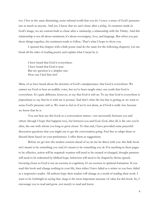too. I live in the same distracting, noise-infused world that you do. I crave a sense of God's presence just as much as anyone. And yet, I know that we can't chase after a *feeling*. As creatures made in God's image, we are custom-built to chase after a *relationship*, a relationship with the Trinity. And this relationship is not all about sentiment; it's about sovereignty, love, and language. But when you put those things together, the sentiment tends to follow. That's what I hope to show you.

 I opened this chapter with a little poem (and do the same for the following chapters). Let me break all the rules of reading poetry and explain what I mean by it.

I have heard that God is everywhere. I have heard that God is near. But my question is a simpler one: How can I feel him here?

Many of us have heard about the doctrine of God's omnipresence: that God is everywhere. We cannot see God or hear an audible voice, but we've been taught since our youth that God is everywhere. It's quite different, however, to say that God is *with me*. To say that God is everywhere is propositional; to say that he is with me is personal. And that's what the last line is getting at: we want to sense God's presence *with us*. We want to feel as if we're not alone, as if God is really *here*, because we know that he is.

 You can best use this book as a conversation starter—not necessarily between you and others (though I hope that happens too), but between you and God. God, after all, is the one you're after, the one with whom you long to grow closer. To that end, I have provided some prayerful discussion questions that you might use to get the conversation going. Feel free to adapt them or discard them based on your preferences. I offer them as suggestions.

 Before we get into the modest content ahead of us, let me be direct with you: this little book isn't meant to be something you *read*; it's meant to be something you *do*. For anything in these pages to be effective, action will be required: routines will need to be created or changed, thought patterns will need to be redeemed by biblical hope, behaviors will need to be shaped by divine speech. Growing closer to God is not an exercise in cognition; it's an exercise in spiritual formation. If you read this book and change nothing in your life, then either I have failed as a writer or you have failed as a responsive reader. All authors hope their readers will change as a result of reading their work. I want to be forthright in saying that *change* is the most important measure of value for this book. So, I encourage you to read and grow, not merely to read and know.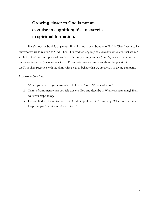### Growing closer to God is not an exercise in cognition; it's an exercise in spiritual formation.

Here's how the book is organized. First, I want to talk about who God is. Then I want to lay out who we are in relation to God. Then I'll introduce language as communion behavior so that we can apply this to (1) our reception of God's revelation (hearing *from* God) and (2) our response to that revelation in prayer (speaking with God). I'll end with some comments about the practicality of God's spoken presence with us, along with a call to believe that we are always in divine company.

#### Discussion Questions

- 1. Would you say that you currently feel close to God? Why or why not?
- 2. Think of a moment when you felt close to God and describe it. What was happening? How were you responding?
- 3. Do you find it difficult to hear from God or speak to him? If so, why? What do you think keeps people from feeling close to God?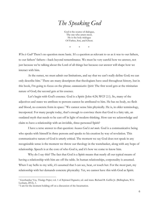# The Speaking God

God is the source of dialogue, The one who utters most. He is the holy trialogue Of Father, Son, and Ghost.

\* \* \*

Who is God? There's no question more basic. It's a question as relevant to us as it was to our fathers, to our fathers' fathers—back beyond remembrance. We must be very careful how we answer, not just because we're talking about the Lord of all things but because our answer will shape how we interact with him.

 At the outset, we must admit our limitations, and say that we can't really define God; we can only describe him.<sup>1</sup> There are many descriptors that theologians have used throughout history, but in this book, I'm going to focus on the phrase *communicative Spirit*. The first word gets at the trinitarian nature of God; the second gets at his essence.

Let's begin with God's essence. God is a Spirit (John 4:24; WCF 2.1). So, many of the adjectives and states we attribute to persons cannot be attributed to him. He has no body, no flesh and blood, no concrete form in space.<sup>2</sup> We cannot sense him physically. He is, in older terminology, incorporeal. For many people today, that's enough to convince them that God is a fairy tale, an outdated myth that needs to be cast off in light of modern thinking. How can we acknowledge and claim to have a relationship with an invisible, three-personed Spirit?

I have a terse answer to that question: *because God is not mute*. God is a communicative being who speaks with himself in three persons and speaks to his creation by way of revelation. This communicative nature of God is utterly critical. The moment we say God does not speak in any recognizable sense is the moment we throw our theology in the wastebasket, along with any hope of relationship. Speech is at the core of who God is, and it's how we come to know him.

 Why do I say this? The fact that God is a Spirit means that nearly all our typical means of having a relationship with him are off the table. In human relationships, corporeality is assumed. When I say hello to my wife, it's assumed that I can see, hear, or touch her. For the most part, my relationship with her demands concrete physicality. Yet, we cannot have this with God as Spirit.

<sup>&</sup>lt;sup>1</sup> Geerhardus Vos, Theology Proper, vol. 1 of Reformed Dogmatics, ed. and trans. Richard B. Gaffin Jr. (Bellingham, WA: Lexham, 2012), 1.

<sup>2</sup> I am for the moment holding off on a discussion of the Incarnation.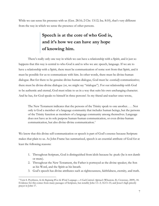While we can sense his presence with us (Gen. 28:16; 2 Chr. 13:12; Isa. 8:10), that's very different from the way in which we sense the presence of other persons.

### Speech is at the core of who God is, and it's how we can have any hope of knowing him.

There's really only one way in which we can have a relationship with a Spirit, and it just so happens that this way is central to who God is and to who we are: speech, language. If we are to have a relationship with a Spirit, there must be communication of some sort from that Spirit, and it must be possible for us to communicate with him. In other words, there must be divine-human dialogue. But for there to be genuine divine-human dialogue, God must be *essentially* communicative; there must be divine-divine dialogue (or, we might say "trialogue"). For our relationship with God to be authentic and eternal, God must relate to us in a way that suits his own unchanging character. And he has, for God speaks to himself in three persons! As my friend and teacher once wrote,

The New Testament indicates that the persons of the Trinity speak to one another. . . . Not only is God a member of a language community that includes human beings, but the persons of the Trinity function as members of a language community among themselves. Language does not have as its sole purpose human-human communication, or even divine-human communication, but also divine-divine communication.<sup>3</sup>

We know that this divine self-communication or speech is part of God's essence because Scripture makes that plain to us. As John Frame has summarized, speech is an essential attribute of God for at least the following reasons:

- 1. Throughout Scripture, God is distinguished from idols because he *speaks* (he is not dumb or mute).
- 2. Throughout the New Testament, the Father is portrayed as the divine speaker, the Son as his Word, and the Spirit as his breath.
- 3. God's speech has divine attributes such as righteousness, faithfulness, eternity, and truth.

<sup>&</sup>lt;sup>3</sup> Vern S. Poythress, In the Beginning Was the Word: Language—A God-Centered Approach (Wheaton, IL: Crossway, 2009), 18. Evidence for this comes from many passages of Scripture, but notably John 1:1–3; 16:13–15; and Jesus's high priestly prayer in John 17.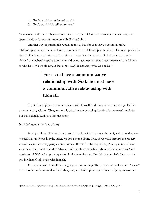- 4. God's word is an object of worship.
- 5. God's word is his self-expression.<sup>4</sup>

As an essential divine attribute—something that is part of God's unchanging character—speech opens the door for our communion with God as Spirit.

Another way of putting this would be to say that for us to have a communicative relationship with God, he must have a communicative relationship with himself. He must speak with himself if he is to speak with us. The primary reason for this is that if God did not speak with himself, then when he spoke to us he would be using a medium that doesn't represent the fullness of who he is. We would not, in that sense, *really* be engaging with God as he is.

### For us to have a communicative relationship with God, he must have a communicative relationship with himself.

So, God is a Spirit who communicates with himself, and that's what sets the stage for him communicating with us. That, in short, is what I mean by saying that God is a *communicative Spirit*. But this naturally leads to other questions.

#### In What Sense Does God Speak?

 $\overline{a}$ 

 Most people would immediately ask, firstly, how God speaks to himself, and, secondly, how he speaks to us. Regarding the latter, we don't hear a divine voice as we walk through the grocery store aisles, nor do many people come home at the end of the day and say, "God, let me tell you about what happened at work." What sort of speech are we talking about when we say that God speaks to us? We'll take up that question in the later chapters. For this chapter, let's focus on the way in which God speaks with himself.

God speaks with himself in a language of love and glory. The persons of the Godhead "speak" to each other in the sense that the Father, Son, and Holy Spirit express love and glory toward one

<sup>4</sup> John M. Frame, Systematic Theology: An Introduction to Christian Belief (Phillipsburg, NJ: P&R, 2013), 522.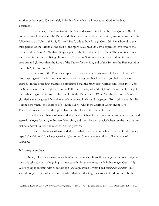another without end. We can safely infer this from what we know about God in the New Testament.

The Father expresses love toward the Son and shows him all that he does (John 5:20). The Son expresses love toward the Father and obeys his commands to perfection, just as he instructs his followers to do (John 14:15, 21, 23). And Paul's ode to holy love (1 Cor. 13:1–13) is bound to the third person of the Trinity as the fruit of the Spirit (Gal. 5:22–23), who expresses love toward the Father and the Son. As Abraham Kuyper put it, "the Love-life whereby these Three mutually love each other is the Eternal Being Himself. . . . The entire Scripture teaches that nothing is more precious and glorious than the Love of the Father for the Son, and of the Son for the Father, and of the Holy Spirit for both."<sup>5</sup>

The persons of the Trinity also speak to one another in a language of glory. In John 17:5 Jesus says, "glorify me in your own presence with the glory that I had with you before the world existed." In the preceding chapter, he proclaimed that the Spirit also glorifies him (John 16:14). So, the Son certainly receives glory from the Father and the Spirit, and yet Jesus tells us that he longs for the Father to glorify him so that he can glorify the Father (John 17:1). And the reason the Son is glorified is that he gives life to all men who are dead in sins and trespasses (Rom. 6:11), and this life is none other than "the Spirit of life" (Rom. 8:2, 6), who is the Spirit of Christ (Rom. 8:9). Therefore, we can say that the Spirit shares in the glory of the Son as life-giver.

This divine exchange of love and glory is the highest form of communication: it is a holy and eternal trialogue fostering unbroken fellowship, and it can be such precisely because the persons are distinct and yet united: one essence in three persons.

This eternal language of love and glory is what I have in mind when I say that God eternally "speaks" to himself. It is language of a higher order. Some have seen fit to call it "a type of language."

#### Interacting with God

 $\overline{a}$ 

Now, if God is a *communicative Spirit* who speaks with himself in a language of love and glory, then this tells us how we're going to interact with him as creatures made in his image (Gen. 1:27). We're going to interact with God through language, which is what I call *communion behavior*. This should bring to mind what we noted earlier: that in order to grow closer to God, we must both

<sup>&</sup>lt;sup>5</sup> Abraham Kuyper, *The Work of the Holy Spirit*, trans. Henry De Vries (Chattanooga, TN: AMG Publishers, 1995), 542.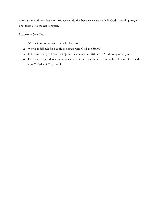speak to him and hear from him. And we can do this because we are made in God's speaking image. That takes us to the next chapter.

#### Discussion Questions

- 1. Why is it important to know who God is?
- 2. Why is it difficult for people to engage with God as a Spirit?
- 3. Is it comforting to know that speech is an essential attribute of God? Why or why not?
- 4. Does viewing God as a communicative Spirit change the way you might talk about God with non-Christians? If so, how?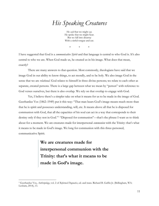# His Speaking Creatures

He said that we might say. He spoke that we might hear. But we fall into disarray With a sinful tongue and ear.

\* \* \*

I have suggested that God is a *communicative Spirit* and that language is central to who God is. It's also central to who we are. When God made us, he created us in his image. What does that mean, exactly?

There are many answers to that question. Most commonly, theologians have said that we image God in our ability to know things, to act morally, and to be holy. We also image God in the sense that we are *relational*. God relates to himself in three divine persons; we relate to each other as separate, created persons. There is a large gap between what we mean by "person" with reference to God verses ourselves, but there is also overlap. We rely on that overlap to engage with God.

Yet, I believe there's a simpler take on what it means for us to be made in the image of God. Geerhardus Vos (1862–1949) put it this way: "That man bears God's image means much more than that he is spirit and possesses understanding, will, etc. It means above all that he is disposed for communion with God, that all the capacities of his soul can act in a way that corresponds to their destiny only if they rest in God."<sup>1</sup> "Disposed for communion"—that's the phrase I want us to think about for a moment. We are creatures made for interpersonal communion with the Trinity: that's what it means to be made in God's image. We long for communion with this three-personed, communicative Spirit.

> We are creatures made for interpersonal communion with the Trinity: that's what it means to be made in God's image.

<sup>&</sup>lt;sup>1</sup> Geerhardus Vos, Anthropology, vol. 2 of Reformed Dogmatics, ed. and trans. Richard B. Gaffin Jr. (Bellingham, WA: Lexham, 2014), 13.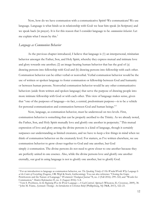Now, how do we have communion with a communicative Spirit? We communicate! We use language. Language is what binds us in relationship with God: we hear him speak (in Scripture) and we speak back (in prayer). It is for this reason that I consider language to be *communion behavior*. Let me explain what I mean by this. $2^2$ 

#### Language as Communion Behavior

 $\overline{a}$ 

As the previous chapter introduced, I believe that language is (1) an interpersonal, trinitarian behavior amongst the Father, Son, and Holy Spirit, whereby they express mutual and intimate love and glory towards one another; (2) an image-bearing human behavior that has the goal of (a) drawing persons into fellowship with God and (b) drawing persons into fellowship with each other. Communion behavior can be either verbal or nonverbal. Verbal communion behavior would be the use of written or spoken language to foster communion or fellowship between God and humanity or between human persons. Nonverbal communion behavior would be any other communicative behaviors (aside from written and spoken language) that serve the purpose of drawing people into more intimate fellowship with God or with each other. This view of language makes sense, given that "one of the purposes of language—in fact, a central, predominant purpose—is to be a vehicle for personal communication and communion between God and human beings."<sup>3</sup>

Now, language, as communion behavior, must be understood on two levels. First, communion behavior is something that can be properly ascribed to the Trinity. As we already noted, the Father, Son, and Holy Spirit mutually love and glorify one another in perpetuity.<sup>4</sup> This mutual expression of love and glory among the divine persons is a kind of language, though it certainly surpasses our understanding as limited creatures, and we have to keep a few things in mind when we think of communion behavior on the creaturely level. For starters, as I've written elsewhere, we use communion behavior to grow closer together to God and one another, but God simply *is* communion. The divine persons do not need to grow closer to one another because they are perfectly united in one essence. Also, while the divine persons love and glorify one another eternally, our goal in using language is not to glorify one another, but to glorify God.

<sup>&</sup>lt;sup>2</sup> For an introduction to language as communion behavior, see The Speaking Trinity & His Worded World: Why Language Is at the Center of Everything (Eugene, OR: Wipf & Stock, forthcoming). You can also reference "Closing the Gaps: Perichoresis and the Nature of Language," Westminster Theological Journal 78, no. 2 (Fall 2016): 299–322; and "Words for Communion," Modern Reformation 25, no. 4 (August 2016): 5–8.

<sup>&</sup>lt;sup>3</sup> Vern S. Poythress, In the Beginning Was the Word: Language—A God-Centered Approach (Wheaton, IL: Crossway, 2009), 38.

<sup>&</sup>lt;sup>4</sup> John M. Frame, Systematic Theology: An Introduction to Christian Belief (Phillipsburg, NJ: P&R, 2013), 522–23.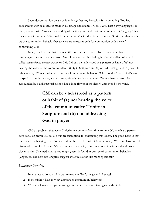Second, communion behavior is an image-bearing behavior. It is something God has endowed us with as creatures made in his image and likeness (Gen. 1:27). That's why language, for me, pairs well with Vos's understanding of the image of God. Communion behavior (language) is at the center of our being "disposed for communion" with the Father, Son, and Spirit. In other words, we use communion behavior because we are creatures built for communion with the selfcommuning God.

 Now, I said before that this is a little book about a big problem. So let's get back to that problem, our feeling distanced from God. I believe that this feeling is often the effect of what I called communicative malnourishment or CM. CM can be understood as a pattern or habit of (a) not hearing the voice of the communicative Trinity in Scripture and (b) not addressing God in prayer. In other words, CM is a problem in our use of communion behavior. When we don't hear God's voice or speak to him in prayer, we become spiritually feeble and anemic. We feel isolated from God, surrounded by a dull spiritual silence, like a lone flower in the desert, unmoved by the wind.

# CM can be understood as a pattern or habit of (a) not hearing the voice of the communicative Trinity in Scripture and (b) not addressing God in prayer.

 CM is a problem that every Christian encounters from time to time. No one has a perfect devotional or prayer life, so all of us are susceptible to contracting this illness. The good news is that there is an unchanging cure. You and I don't have to live with CM indefinitely. We don't have to feel distanced from God forever. We can recover the vitality of our relationship with God and grow closer to him. The medicine, as you might guess, is found in our use of communion behavior (language). The next two chapters suggest what this looks like more specifically.

#### Discussion Questions

- 1. In what ways do you think we are made in God's image and likeness?
- 2. How might it help to view language as communion behavior?
- 3. What challenges face you in using communion behavior to engage with God?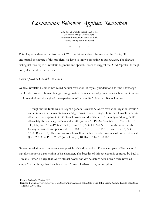# Communion Behavior Applied: Revelation

God spoke a world that speaks to us; He makes his greatness heard. Matter and time, from dawn to dusk, Stands strong upon his Word.

\* \* \*

This chapter addresses the first part of CM: our failure to hear the voice of the Trinity. To understand the nature of this problem, we have to know something about *revelation*. Theologians distinguish two types of revelation: general and special. I want to suggest that God "speaks" through both, albeit in different senses.

#### God's Speech in General Revelation

General revelation, sometimes called natural revelation, is typically understood as "the knowledge that God conveys to human beings through nature. It is also called general revelation because it comes to all mankind and through all the experiences of human life."<sup>1</sup> Herman Bavinck writes,

Throughout the Bible we are taught a general revelation. God's revelation began in creation and continues in the maintenance and governance of all things. He reveals himself in nature all around us, displays in it his eternal power and divinity, and in blessings and judgments alternately shows this goodness and wrath (Job 36; 37; Ps. 29; 33:5; 65; 67:7; 90; 104; 107; 145; 147; Isa. 59:17–19; Matt. 5:45; Rom. 1:18; Acts 14:16–17). He reveals himself in the history of nations and persons (Deut. 32:8; Ps. 33:10; 67:4; 115:16; Prov. 8:15, 16; Acts 17:26; Rom. 13:1). He also discloses himself in the heart and conscience of every individual (Job 32:8; 33:4; Prov. 20:27; John 1:3–5, 9, 10; Rom. 2:14, 15; 8:16.<sup>2</sup>

General revelation encompasses every particle of God's creation. There is no part of God's world that does not reveal something of his character. The breadth of this revelation is captured by Paul in Romans 1 when he says that God's eternal power and divine nature have been clearly revealed simply "in the things that have been made" (Rom. 1:20)—that is, in everything.

<sup>&</sup>lt;sup>1</sup> Frame, Systematic Theology, 537.

<sup>&</sup>lt;sup>2</sup> Herman Bavinck, Prolegomena, vol. 1 of Reformed Dogmatics, ed. John Bolt, trans. John Vriend (Grand Rapids, MI: Baker Academic, 2003), 310.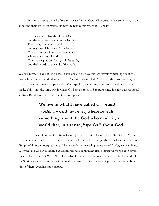It is in this sense that all of reality "speaks" about God. All of creation has something to say about the character of its maker. My favorite text in this regard is Psalm 19:1–4.

The heavens declare the glory of God, and the sky above proclaims his handiwork. Day to day pours out speech, and night to night reveals knowledge. There is no speech, nor are there words, whose voice is not heard. Their voice goes out through all the earth, and their words to the end of the world.

We live in what I have called a *worded world*, a world that everywhere reveals something about the God who made it, a world that, in a sense, "speaks" about God. And here's the most gripping part of it all: the speech never stops. God is *always* speaking to his image bearers through what he has made. This is not the same way in which God speaks to us in Scripture, since it is not a direct verbal address. But it is nevertheless true. Creation speaks.

## We live in what I have called a worded world, a world that everywhere reveals something about the God who made it, a world that, in a sense, "speaks" about God.

 The trick, of course, is learning to interpret it, to hear it. How can we interpret the "speech" of general revelation? For starters, we have to look at creation through the lens of special revelation (Scripture) in order interpret it faithfully. Apart from the saving revelation of Christ, we're all blind. We won't see God in creation, but neither will we see anything else, because we've not been given the eyes to see it (Isa. 6:9–10; Matt. 13:15–16). Once we have been given new eyes by the work of the Spirit, we can take any part of the world and trust that God is revealing a host of things about himself there, even his triune nature.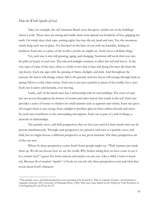#### How the World Speaks of God

 $\overline{a}$ 

 Take, for example, the old American Beech trees that grow outside one of the buildings where I work. These trees are strong and stable; their roots spread out hundreds of feet, gripping the earth. On windy days, their tops, soaring eighty feet into the air, bend and turn. Yet, the enormous trunks keep each tree in place. I've knocked on the base of one with my knuckles, feeling its hardness. Each tree is a piece of the world, a *particle*, we might say. Each one is a definite thing.<sup>3</sup>

Yet, each tree is also still growing, aging, and changing. Nutrients still work their way into the pith (or heart) of each tree. The rain and sunlight continue to affect the soil and leaves. At the very tops of some of the trees, there is a limb or two that is bare and dying (for trees die from the top down). Each tree ages with the passing of dawn, daylight, and dusk. And throughout the seasons, the leaves will change colors, fall to the ground, and new leaves will emerge through buds as spring follows a cold, white winter. Each tree is not just a particle (a piece of the world), but a *wave*. Each one is active and dynamic, ever moving.

Lastly, each of the beech trees has a relationship with its surroundings. The roots of each tree are woven throughout the homes of worms and other insects that reside in the soil. Each tree provides a series of homes or shelters for small animals such as squirrels and orioles. Each tree gives off oxygen when it uses energy from sunlight to produce glucose from carbon dioxide and water. So, each tree contributes to the surrounding atmosphere. Each one is part of a *field* of things, a network of relationships.

The particle, wave, and field perspectives that we have just used for these beech trees are all present simultaneously. Through each perspective, we perceive each tree as a particle, wave, and field, but we might choose a different perspective at any given moment. The three perspectives are of the one tree.

Where do these perspectives come from? Some people might say, "Well, humans just made them up. We all can choose how we see the world. Why bother asking how we have come to see it in a certain way?" I guess I'm more curious, and maybe you are, too. Like a child, I want to know  $wby$ . Because all of creation "speaks" of God, we can ask why these perspectives exist and what they reveal about God's character.

<sup>&</sup>lt;sup>3</sup> The particle, wave, and field perspectives were introduced by Kenneth L. Pike in *Linguistic Concepts: An Introduction to* Tagmemics (Lincoln, NE: University of Nebraska Press, 1982). They have been linked to the Trinity by Vern Poythress in In the Beginning Was the Word, 56–59.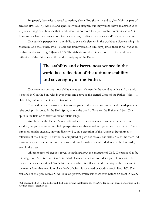In general, they exist to reveal something about God (Rom. 1) and to glorify him as part of creation (Ps. 19:1–4). Atheists and agnostics would disagree, but they will not have an answer as to why such things exist because their worldview has no room for a purposeful, communicative Spirit. In terms of what they reveal about God's character, I believe they reveal God's trinitarian nature.

The particle perspective—our ability to see each element in the world as a discrete thing—is rooted in God the Father, who is stable and immoveable. In him, says James, there is no "variation or shadow due to change" (James 1:17). The stability and discreteness we see in the world is a reflection of the ultimate stability and sovereignty of the Father.

### The stability and discreteness we see in the world is a reflection of the ultimate stability and sovereignty of the Father.

The wave perspective—our ability to see each element in the world as active and dynamic is rooted in God the Son, who is ever living and active as the eternal Word of the Father (John 1:1; Heb. 4:12). All movement is reflective of him.<sup>4</sup>

The field perspective—our ability to see parts of the world in complex and interdependent relationship—is rooted in the Holy Spirit, who is the bond of love for the Father and Son. The Spirit is the field or context for divine relationship.

And because the Father, Son, and Spirit share the same essence and interpenetrate one another, the particle, wave, and field perspectives are also united and penetrate one another. There is threeness amidst oneness, unity in diversity. So, my perception of the American Beech trees is reflective of the Trinity. The world, as comprised of particles, waves, and fields, "tells" me that God is trinitarian, one essence in three persons, and that his nature is embedded in what he has made, even in the trees.

All other parts of creation reveal something about the character of God. We just need to be thinking about Scripture and God's revealed character when we consider a part of creation. The concrete sidewalk speaks of God's faithfulness, which is reflected in the density of the rock and in the natural laws that keep it in place (each of which is sustained by God's speech; Heb. 1:3). The resilience of the grass reveals God's love of growth, which was there even before sin crept in (Gen.

<sup>&</sup>lt;sup>4</sup> Of course, the Son (as the Father and the Spirit) is what theologians call *immutable*. He doesn't change or develop in the way that parts of creation do.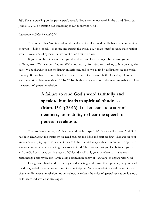2:8). The ant crawling on the peony petals reveals God's continuous work in the world (Prov. 6:6; John 5:17). All of creation has something to say about who God is.

#### Communion Behavior and CM

 The point is that God is speaking through creation all around us. He has used communion behavior—divine speech—to create and sustain the world. So, it makes perfect sense that creation would have a kind of speech. But we don't often hear it, do we?

If you don't hear it, even when you slow down and listen, it might be because you're suffering from CM, as most of us are. We're not hearing from God or speaking to him on a regular basis. We're all guilty of not mediating on Scripture, and so we all find it difficult to see the world this way. But we have to remember that a failure to read God's word faithfully and speak to him leads to spiritual blindness (Matt. 15:14; 23:16). It also leads to a sort of deafness, an inability to hear the speech of general revelation.

# A failure to read God's word faithfully and speak to him leads to spiritual blindness (Matt. 15:14; 23:16). It also leads to a sort of deafness, an inability to hear the speech of general revelation.

The problem, you see, isn't that the world fails to speak; it's that we fail to hear. And God has been clear about the treatment we need: pick up the Bible and start reading. Then get on your knees and start praying. This is what it means to have a *relationship* with a communicative Spirit, to lean on communion behavior to grow closer to God. The distance that you feel between yourself and the God who loves you is a result of CM, and it will only go away when you make your relationship a priority by constantly using communion behavior (language) to engage with God.

Doing this is hard work, especially in a distracting world. And that's precisely why we need the direct, verbal communication from God in Scripture. General revelation speaks about God's character. But special revelation not only allows us to hear the voice of general revelation; it allows us to hear God's voice addressing us.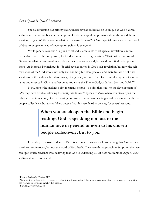#### God's Speech in Special Revelation

Special revelation has priority over general revelation because it is unique as God's verbal address to us as image bearers. In Scripture, God is not speaking primarily about the world; he is speaking to *you*. While general revelation in a sense "speaks" of God, special revelation is the speech of God to people in need of redemption (which is everyone).

While general revelation is given to all and is accessible to all, special revelation is more particular. It is revelation by word, for God's people, offering salvation.<sup>5</sup> That last part is crucial. General revelation can reveal much about the character of God, but we do not find redemption there.<sup>6</sup> As Herman Bavinck put it, "Special revelation too is God's self-revelation, but now the selfrevelation of the God who is not only just and holy but also gracious and merciful, who not only speaks to us through law but also through the gospel, and who therefore centrally explains to us his name and essence in Christ and becomes known as the Triune God, as Father, Son, and Spirit."<sup>7</sup>

Now, here's the sticking point for many people—a point that leads to the development of CM: they have trouble believing that Scripture is God's speech to them. When you crack open the Bible and begin reading, God is speaking not just to the human race in general or even to his chosen people collectively, but to you. Many people find this very hard to believe, for several reasons.

### When you crack open the Bible and begin reading, God is speaking not just to the human race in general or even to his chosen people collectively, but to you.

First, they may assume that the Bible is a primarily *human* book, something that God uses to speak to people today, but not the word of God itself. If we take this approach to Scripture, then we can't put much credence into believing that God is addressing us. At best, we think he *might* or *could* address us when we read it.

<sup>&</sup>lt;sup>5</sup> Frame, Systematic Theology, 689.

<sup>6</sup> We might be able to interpret signs of redemption there, but only because special revelation has uncovered how God has worked to save and sanctify his people.

<sup>7</sup> Bavinck, Prolegomena, 343.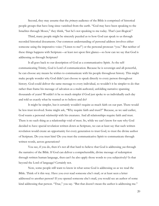Second, they may assume that the *primary* audience of the Bible is comprised of historical people groups that have long since vanished from the earth. "God may have been speaking to the Israelites through Moses," they think, "but he's not speaking to me today. That's just illogical."

Third, many people might be sincerely puzzled as to how God can speak to us through recorded historical documents. Our common understanding of personal address involves either someone using the imperative voice ("Listen to me!") or the personal pronoun "you." But neither of these things happens with Scripture—at least not upon first glance—so how can we say that God is addressing us through Scripture?

It all goes back to our description of God as a communicative Spirit. As the selfcommunicating Trinity, God is Lord of communication. Because he is sovereign and all-powerful, he can choose any means he wishes to communicate with his people throughout history. This might make people wonder why God didn't just choose to speak directly to every person throughout history. God could deliver the same message to every individual, so wouldn't it be simpler to do that rather than frame his message of salvation as a multi-authored, unfolding narrative spanning thousands of years? Wouldn't it be so much simpler if God just spoke to us individually each day and told us exactly what he wanted us to believe and do?

It might be simpler, but it certainly wouldn't require as much faith on our part. There would be less trust involved. Some might ask, "Why require faith and trust?!" Because, as we said earlier, God wants a personal *relationship* with his creatures. And all relationships require faith and trust. There is no such thing as a relationship void of trust. So, while we can't know for sure why God decided to have special revelation written down as Scripture, we can at least say that such written revelation would create an opportunity for every generation to trust God, to trust the divine author of Scripture. Do you trust him? Do you trust the communicative Spirit to communicate through written words, across generations?

You see, if you do, then it's not all that hard to believe that God is addressing you through the narrative of the Bible. If God can deliver a comprehensible, divine message of redemption through written human language, then can't he also apply those words to you subjectively? Is that beyond the Lord of language? Certainly not.

Now, some people still want to know in what sense God is addressing us as we read the Bible. Think of it this way. Have you ever read someone else's mail, or at least seen a letter addressed to another person? If you opened someone else's mail, you would see an author of some kind addressing that person. "True," you say. "But that doesn't mean the author is addressing me."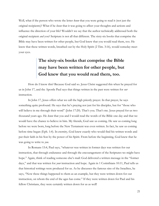Well, what if the person who wrote the letter *knew* that you were going to read it (not just the original recipients)? What if he knew that it was going to affect your thoughts and actions and influence the direction of your life? Wouldn't we say that the author technically addressed both the original recipient and you? Scripture is not all that different. The sixty-six books that comprise the Bible may have been written for other people, but God knew that you would read them, too. He knew that these written words, breathed out by the Holy Spirit (2 Tim. 3:16), would someday meet your eyes.

### The sixty-six books that comprise the Bible may have been written for other people, but God knew that you would read them, too.

How do I know this? Because God said so. Jesus Christ suggested this when he prayed for us in John 17, and the Apostle Paul says that things written in the past were written for *our* instruction.

In John 17, Jesus offers what we call the high priestly prayer. In that prayer, he says something quite profound. He says that he's praying not just for his disciples, but for "those who will believe in me through their word" (John 17:20). That's you. That's me. Jesus prayed for us two thousand years ago. He knew that you and I would read the words of the Bible one day and that we would have the chance to believe in him. My friends, God saw us coming. He saw us coming long before we were born, long before the New Testament was even written. In fact, he saw us coming before time began (Eph. 1:4). In eternity, God knew exactly who would find his written words and put their faith in his Son by the power of his Spirit. From before the beginning, God knew that he was going to write to *you*.

In Romans 15:4, Paul says, "whatever was written in former days was written for our instruction, that through endurance and through the encouragement of the Scriptures we might have hope." Again, think of reading someone else's mail: God delivered a written message in the "former days," and that was written for *your* instruction and hope. Again in 1 Corinthians 10:11, Paul tells us that historical writings were produced for us. As he discusses the famous sins of the Israelites, he says, "Now these things happened to them as an example, but they were written down for our instruction, on whom the end of the ages has come." If they were written down for Paul and his fellow Christians, they were certainly written down for us as well!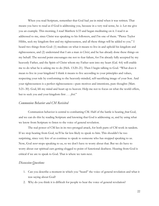When you read Scripture, remember that God had  $\gamma \omega u$  in mind when it was written. That means you have to read as if God is addressing you, because in a very real sense, he is. Let me give you an example. This morning, I read Matthew 6:33 and began meditating on it. I read it as addressed to me, since Christ was speaking to his followers, and I'm one of them. "Pierce Taylor Hibbs, seek my kingdom first and my righteousness, and all these things will be added to you." I heard two things from God: (1) meditate on what it means to live in and uphold his kingdom and righteousness, and (2) understand that I am a man *in Christ*, and he has already done these things on my behalf. The second point encourages me not to fear failure, for I'm already fully accepted by my heavenly Father, and the Spirit of Christ whom my Father sent into my heart (Gal. 4:6) will enable me to do what he is asking me to do (Heb. 13:20–21). Then I begin talking to God. "What does it mean to live in your kingdom? I think it means to live according to your principles and values, respecting your rule by conforming to the heavenly-minded, self-sacrificing image of your Son. And your righteousness is a perfect righteousness—pure motives and intentions, pure thoughts (Matt. 5:21–30). God, lift my mind and heart up to heaven. Help me not to focus on what the world offers, but to seek you and your kingdom first . . . first."

#### Communion Behavior and CM Revisited

Communion behavior is central to combatting CM. Half of the battle is hearing *from* God, and we can do this by reading Scripture and knowing that God is addressing us, and by using what we know from Scripture to listen to the voice of general revelation.

The real power of CM lies in its two-pronged attack, for both parts of CM work in tandem. If we stop hearing from God, we'll be far less likely to speak to him. This shouldn't be too surprising, since very few of us continue to speak to someone who has stopped speaking to us. Now, God *never* stops speaking to us, so we don't have to worry about that. But we do have to worry about our spiritual ears getting clogged to point of functional deafness. Hearing from God is critical if we are to speak to God. That is where we turn next.

#### Discussion Questions

- 1. Can you describe a moment in which you "heard" the voice of general revelation and what it was saying about God?
- 2. Why do you think it is difficult for people to hear the voice of general revelation?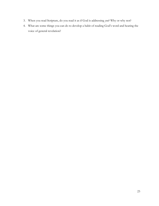- 3. When you read Scripture, do you read it as if God is addressing you? Why or why not?
- 4. What are some things you can do to develop a habit of reading God's word and hearing the voice of general revelation?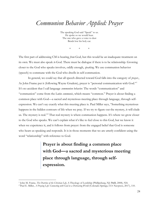# Communion Behavior Applied: Prayer

The speaking God said "Speak" to us. He spoke so we would hear. The one who gave a voice to dust Bends low his holy ear.

 $*$  \* \*

The first part of addressing CM is hearing *from* God, but this would be an inadequate treatment on its own. We must also speak to God. There must be dialogue if there is to be relationship. Growing closer to the God who speaks involves, oddly enough, speaking. We use communion behavior (speech) to commune with the God who dwells in self-communion.

In general, we could say that all speech directed toward God falls into the category of *prayer*., As John Frame put it (following Wayne Grudem), prayer is "personal communication with God."<sup>1</sup> It's no accident that I call language *communion behavior*. The words "communication" and "communion" come from the Latin *communis*, which means "common." Prayer is about finding a common place with God—a sacred and mysterious meeting place through language, through selfexpression. We can't say exactly what this meeting place is. Paul Miller says, "Something mysterious happens in the hidden contours of life when we pray. If we try to figure out the mystery, it will elude us. The mystery is real."<sup>2</sup> That real mystery is where communion happens. It's where we grow closer to the God who speaks. We can't explain what it's like to feel close to this God, but we know it when we experience it, and it follows from prayer: from the engaged belief that God is someone who hears us speaking and responds. It is in those moments that we are utterly confident using the word "relationship" with reference to God.

> Prayer is about finding a common place with God—a sacred and mysterious meeting place through language, through selfexpression.

<sup>&</sup>lt;sup>1</sup> John M. Frame, *The Doctrine of the Christian Life*, A Theology of Lordship (Phillipsburg, NJ: P&R, 2008), 924.

<sup>&</sup>lt;sup>2</sup> Paul E. Miller, *A Praying Life: Connecting with God in a Distracting World* (Colorado Springs, CO: Navpress, 2017), 110.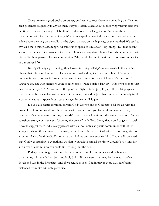There are many good books on prayer, but I want to focus here on something that I've not seen presented frequently in any of them. Prayer is often talked about as involving various elements: petitions, requests, pleadings, celebrations, confessions—the list goes on. But what about communing with God in the ordinary? What about speaking to God concerning the cracks in the sidewalk, or the song on the radio, or the signs you pass on the highway, or the weather? We tend to trivialize these things, assuming God wants us to speak to him about "big" things. But that doesn't seem to be biblical. God wants us to speak to him about *everything*. He is a God who communes with himself in three persons; he loves communion. Why would he put limitations on conversation topics in our prayer life?

In English language teaching, they have something called *phatic communion*. This is a fancy phrase that refers to chitchat establishing an informal and light social atmosphere. It's primary purpose is not to convey information but to create an arena for more dialogue. It's the sort of language you use with strangers at the grocery store. "Nice outside, isn't it?" "Have you been to that new restaurant yet?" "Did you catch the game last night?" Most people play off this language as irrelevant babble, a careless use of words. Of course, it could be just that. But it can genuinely fulfill a communicative purpose. It can set the stage for deeper dialogue.

 Do you use phatic communion with God? Do you talk to God just to fill the air with the possibility of communication? Or do you wait in silence until you feel as if you have to pray (i.e., when there's a grave trauma or urgent need)? I think most of us fit into the second category. We feel somehow strange or irreverent "shooting the breeze" with God. Doing that would suggest . . . well, it would suggest that God is really present with us. You only use phatic communion with other strangers when other strangers are actually around you. Our refusal to do it with God suggests more about our lack of faith in God's presence than it does our reverence for him. If you really believed that God was listening to everything, wouldn't you talk to him all the time? Wouldn't you long for any sliver of communion you could find throughout the day?

 Perhaps you disagree with me, but my point is simple: our lives should be bent on communing with the Father, Son, and Holy Spirit. If they aren't, that may be the reason we've developed CM in the first place. And if we refuse to seek God in prayer every day, our feeling distanced from him will only get worse.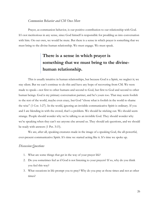#### Communion Behavior and CM Once More

Prayer, as communion behavior, is our positive contribution to our relationship with God. It's not meritorious in any sense, since God himself is responsible for prodding us into conversation with him. On our own, we would be mute. But there is a sense in which prayer is something that we must bring to the divine-human relationship. We must engage. We must speak.

### There is a sense in which prayer is something that we must bring to the divinehuman relationship.

 This is usually intuitive in human relationships, but because God is a Spirit, we neglect it; we stay silent. But we can't continue to do this and have any hope of recovering from CM. We were made to speak—not first to other humans and second to God, but first to God and second to other human beings. God is my primary conversation partner, and he's yours too. That may seem foolish to the rest of the world, maybe even crazy, but God "chose what is foolish in the world to shame the wise" (1 Cor. 1:27). In the world, ignoring an invisible communicative Spirit is ordinary. If you and I are blending in with the crowd, that's a problem. We should be sticking out. We should seem strange. People should wonder why we're talking to an invisible God. They should wonder why we're speaking when they can't see anyone else around us. They should ask questions, and we should be ready with answers (1 Pet. 3:15).

 We are, after all, speaking creatures made in the image of a speaking God, the all-powerful, ever-present communicative Spirit. It's time we started acting like it. It's time we spoke up.

#### Discussion Questions

- 1. What are some things that get in the way of your prayer life?
- 2. Do you sometimes feel as if God is not listening to your prayers? If so, why do you think you feel this way?
- 3. What occasions in life prompt you to pray? Why do you pray at those times and not at other times?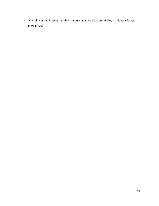4. What do you think keeps people from praying in today's culture? How could we address these things?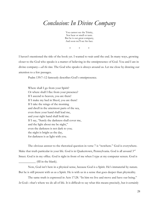# Conclusion: In Divine Company

You cannot see the Trinity, Nor hear or smell or taste. But he is our great company, And soon we'll see his face.

\* \* \*

I haven't mentioned the title of the book yet. I wanted to wait until the end. In many ways, growing closer to the God who speaks is a matter of believing in the omnipresence of God. You and I are in divine company—all the time. The God who speaks is always around us. Let me close by drawing our attention to a few passages.

Psalm 139:7–12 famously describes God's omnipresence.

Where shall I go from your Spirit? Or where shall I flee from your presence? If I ascend to heaven, you are there! If I make my bed in Sheol, you are there! If I take the wings of the morning and dwell in the uttermost parts of the sea, even there your hand shall lead me, and your right hand shall hold me. If I say, "Surely the darkness shall cover me, and the light about me be night," even the darkness is not dark to you; the night is bright as the day, for darkness is as light with you.

The obvious answer to the rhetorical question in verse 7 is "nowhere." God is everywhere. Make that truth particular in your life. God is in Quakertown, Pennsylvania. God is all around 3rd Street. God is in my office. God is right in front of me when I type at my computer screen. God is \_\_\_\_\_\_\_\_\_\_\_ (fill in the blank).

Now, God isn't here in a physical sense, because God is a Spirit. He's immaterial by nature. But he is still present with us as a Spirit. He is with us in a sense that goes deeper than physicality.

The same truth is expressed in Acts 17:28. "In him we live and move and have our being." In God—that's where we do all of life. It is difficult to say what this means precisely, but it certainly